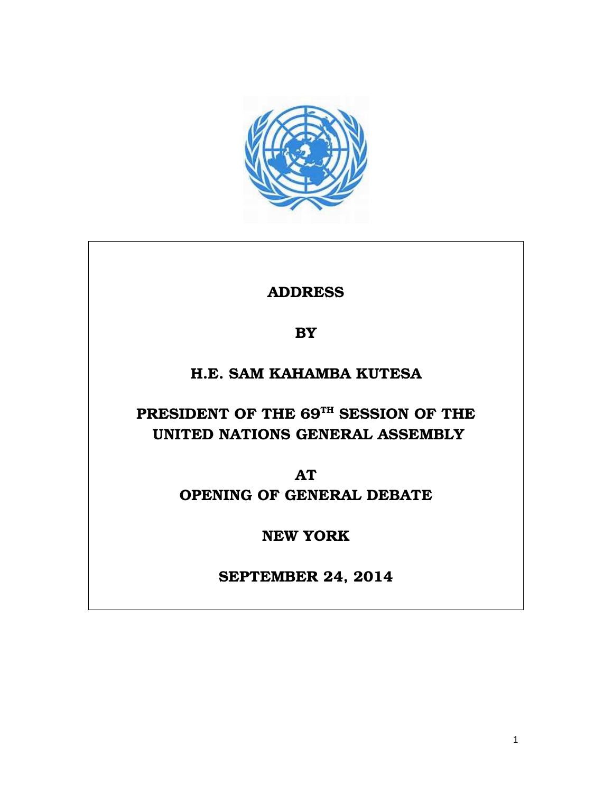

ADDRESS

**BY** 

## H.E. SAM KAHAMBA KUTESA

# PRESIDENT OF THE 69TH SESSION OF THE UNITED NATIONS GENERAL ASSEMBLY

AT

OPENING OF GENERAL DEBATE

NEW YORK

SEPTEMBER 24, 2014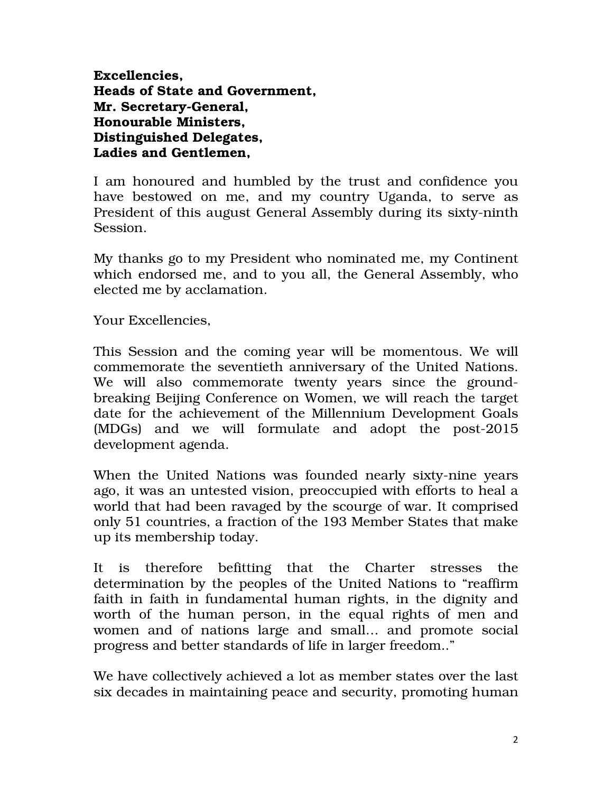Excellencies, Heads of State and Government, Mr. Secretary-General, Honourable Ministers, Distinguished Delegates, Ladies and Gentlemen,

I am honoured and humbled by the trust and confidence you have bestowed on me, and my country Uganda, to serve as President of this august General Assembly during its sixty-ninth Session.

My thanks go to my President who nominated me, my Continent which endorsed me, and to you all, the General Assembly, who elected me by acclamation.

Your Excellencies,

This Session and the coming year will be momentous. We will commemorate the seventieth anniversary of the United Nations. We will also commemorate twenty years since the groundbreaking Beijing Conference on Women, we will reach the target date for the achievement of the Millennium Development Goals (MDGs) and we will formulate and adopt the post-2015 development agenda.

When the United Nations was founded nearly sixty-nine years ago, it was an untested vision, preoccupied with efforts to heal a world that had been ravaged by the scourge of war. It comprised only 51 countries, a fraction of the 193 Member States that make up its membership today.

It is therefore befitting that the Charter stresses the determination by the peoples of the United Nations to "reaffirm faith in faith in fundamental human rights, in the dignity and worth of the human person, in the equal rights of men and women and of nations large and small… and promote social progress and better standards of life in larger freedom.."

We have collectively achieved a lot as member states over the last six decades in maintaining peace and security, promoting human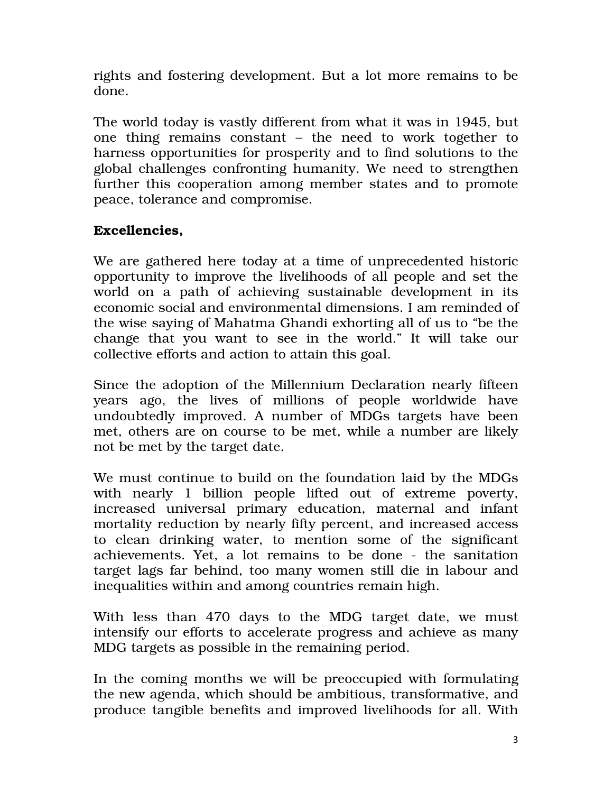rights and fostering development. But a lot more remains to be done.

The world today is vastly different from what it was in 1945, but one thing remains constant – the need to work together to harness opportunities for prosperity and to find solutions to the global challenges confronting humanity. We need to strengthen further this cooperation among member states and to promote peace, tolerance and compromise.

#### Excellencies,

We are gathered here today at a time of unprecedented historic opportunity to improve the livelihoods of all people and set the world on a path of achieving sustainable development in its economic social and environmental dimensions. I am reminded of the wise saying of Mahatma Ghandi exhorting all of us to "be the change that you want to see in the world." It will take our collective efforts and action to attain this goal.

Since the adoption of the Millennium Declaration nearly fifteen years ago, the lives of millions of people worldwide have undoubtedly improved. A number of MDGs targets have been met, others are on course to be met, while a number are likely not be met by the target date.

We must continue to build on the foundation laid by the MDGs with nearly 1 billion people lifted out of extreme poverty, increased universal primary education, maternal and infant mortality reduction by nearly fifty percent, and increased access to clean drinking water, to mention some of the significant achievements. Yet, a lot remains to be done - the sanitation target lags far behind, too many women still die in labour and inequalities within and among countries remain high.

With less than 470 days to the MDG target date, we must intensify our efforts to accelerate progress and achieve as many MDG targets as possible in the remaining period.

In the coming months we will be preoccupied with formulating the new agenda, which should be ambitious, transformative, and produce tangible benefits and improved livelihoods for all. With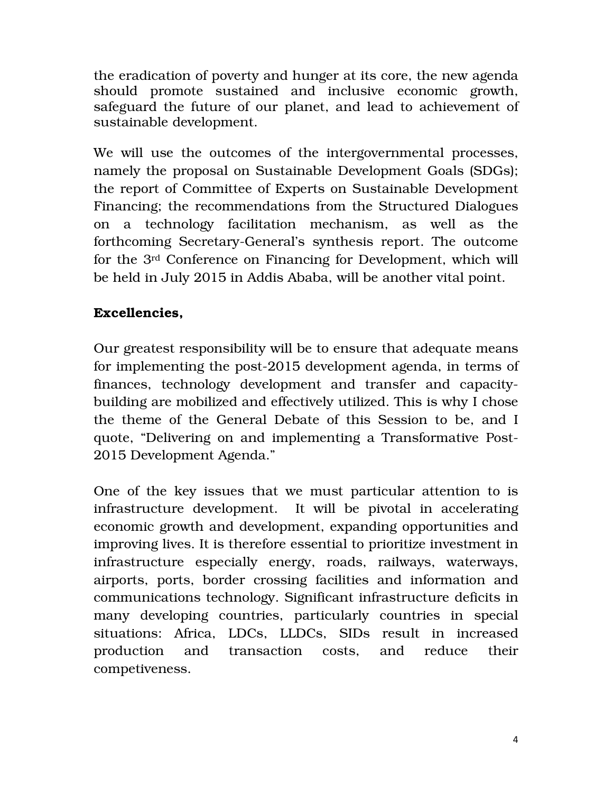the eradication of poverty and hunger at its core, the new agenda should promote sustained and inclusive economic growth, safeguard the future of our planet, and lead to achievement of sustainable development.

We will use the outcomes of the intergovernmental processes, namely the proposal on Sustainable Development Goals (SDGs); the report of Committee of Experts on Sustainable Development Financing; the recommendations from the Structured Dialogues on a technology facilitation mechanism, as well as the forthcoming Secretary-General's synthesis report. The outcome for the 3rd Conference on Financing for Development, which will be held in July 2015 in Addis Ababa, will be another vital point.

### Excellencies,

Our greatest responsibility will be to ensure that adequate means for implementing the post-2015 development agenda, in terms of finances, technology development and transfer and capacitybuilding are mobilized and effectively utilized. This is why I chose the theme of the General Debate of this Session to be, and I quote, "Delivering on and implementing a Transformative Post-2015 Development Agenda."

One of the key issues that we must particular attention to is infrastructure development. It will be pivotal in accelerating economic growth and development, expanding opportunities and improving lives. It is therefore essential to prioritize investment in infrastructure especially energy, roads, railways, waterways, airports, ports, border crossing facilities and information and communications technology. Significant infrastructure deficits in many developing countries, particularly countries in special situations: Africa, LDCs, LLDCs, SIDs result in increased production and transaction costs, and reduce their competiveness.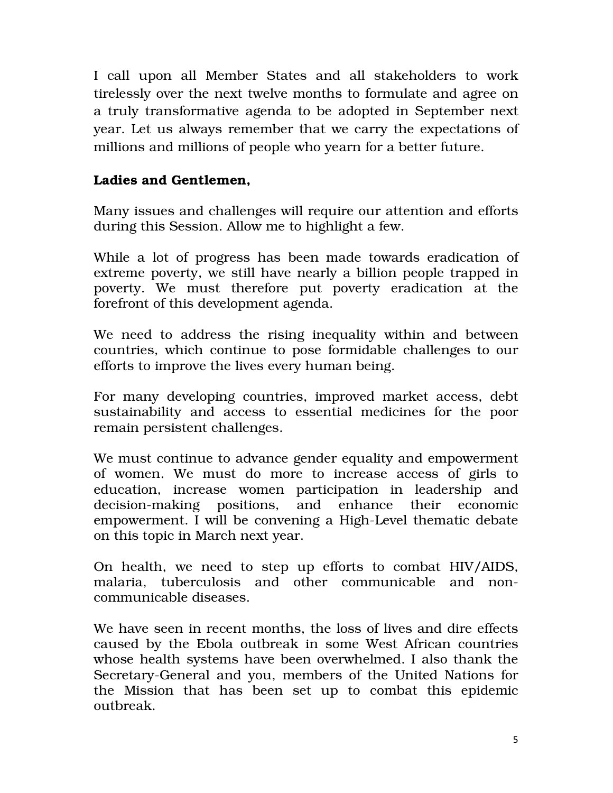I call upon all Member States and all stakeholders to work tirelessly over the next twelve months to formulate and agree on a truly transformative agenda to be adopted in September next year. Let us always remember that we carry the expectations of millions and millions of people who yearn for a better future.

#### Ladies and Gentlemen,

Many issues and challenges will require our attention and efforts during this Session. Allow me to highlight a few.

While a lot of progress has been made towards eradication of extreme poverty, we still have nearly a billion people trapped in poverty. We must therefore put poverty eradication at the forefront of this development agenda.

We need to address the rising inequality within and between countries, which continue to pose formidable challenges to our efforts to improve the lives every human being.

For many developing countries, improved market access, debt sustainability and access to essential medicines for the poor remain persistent challenges.

We must continue to advance gender equality and empowerment of women. We must do more to increase access of girls to education, increase women participation in leadership and decision-making positions, and enhance their economic empowerment. I will be convening a High-Level thematic debate on this topic in March next year.

On health, we need to step up efforts to combat HIV/AIDS, malaria, tuberculosis and other communicable and noncommunicable diseases.

We have seen in recent months, the loss of lives and dire effects caused by the Ebola outbreak in some West African countries whose health systems have been overwhelmed. I also thank the Secretary-General and you, members of the United Nations for the Mission that has been set up to combat this epidemic outbreak.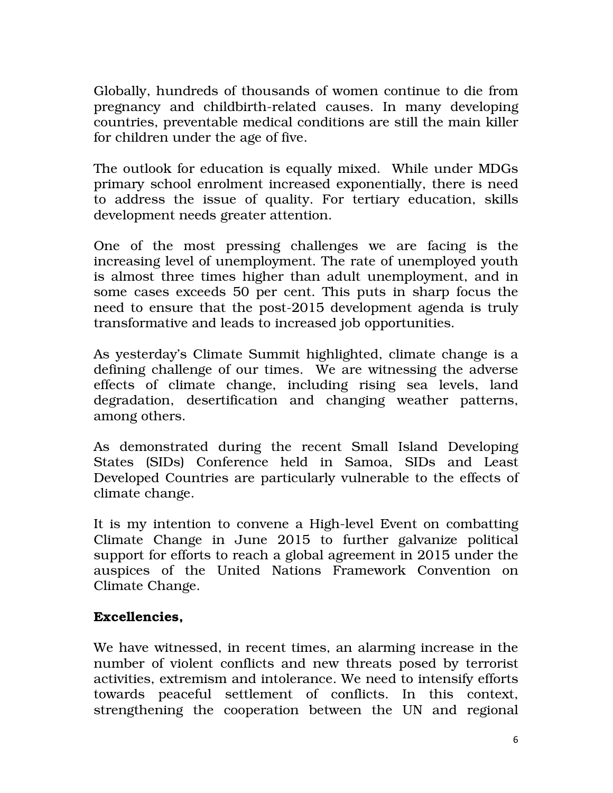Globally, hundreds of thousands of women continue to die from pregnancy and childbirth-related causes. In many developing countries, preventable medical conditions are still the main killer for children under the age of five.

The outlook for education is equally mixed. While under MDGs primary school enrolment increased exponentially, there is need to address the issue of quality. For tertiary education, skills development needs greater attention.

One of the most pressing challenges we are facing is the increasing level of unemployment. The rate of unemployed youth is almost three times higher than adult unemployment, and in some cases exceeds 50 per cent. This puts in sharp focus the need to ensure that the post-2015 development agenda is truly transformative and leads to increased job opportunities.

As yesterday's Climate Summit highlighted, climate change is a defining challenge of our times. We are witnessing the adverse effects of climate change, including rising sea levels, land degradation, desertification and changing weather patterns, among others.

As demonstrated during the recent Small Island Developing States (SIDs) Conference held in Samoa, SIDs and Least Developed Countries are particularly vulnerable to the effects of climate change.

It is my intention to convene a High-level Event on combatting Climate Change in June 2015 to further galvanize political support for efforts to reach a global agreement in 2015 under the auspices of the United Nations Framework Convention on Climate Change.

#### Excellencies,

We have witnessed, in recent times, an alarming increase in the number of violent conflicts and new threats posed by terrorist activities, extremism and intolerance. We need to intensify efforts towards peaceful settlement of conflicts. In this context, strengthening the cooperation between the UN and regional